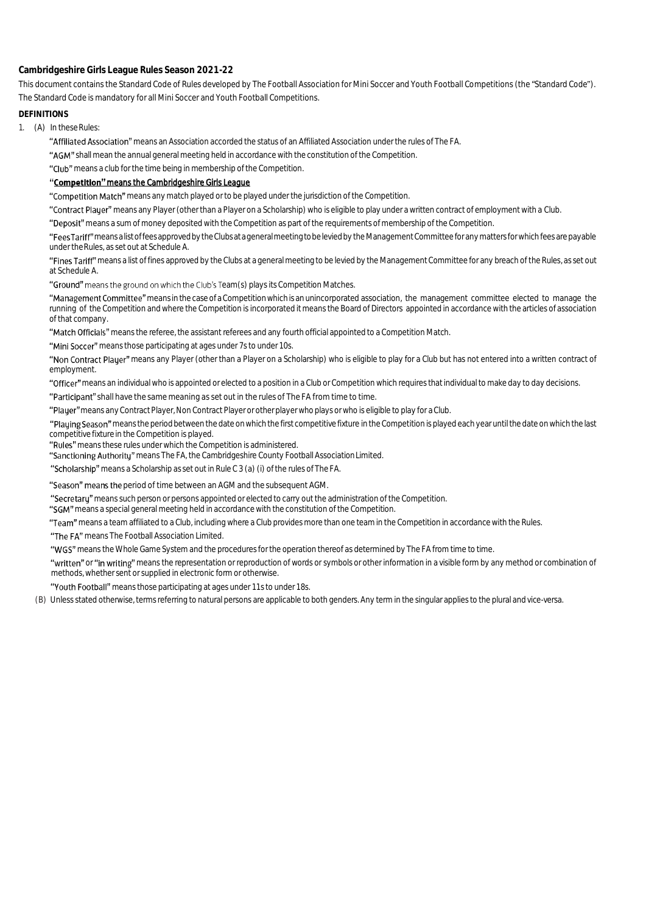**Cambridgeshire Girls League Rules Season 2021-22**

This document contains the Standard Code of Rules developed by The Football Association for Mini Soccer and Youth Football Competitions (the "Standard Code"). The Standard Code is mandatory for all Mini Soccer and Youth Football Competitions.

## **DEFINITIONS**

1. (A) In these Rules:

"Affiliated Association" means an Association accorded the status of an Affiliated Association under the rules of The FA.

"AGM" shall mean the annual general meeting held in accordance with the constitution of the Competition.

"Club" means a club for the time being in membership of the Competition.

## "Competition" means the Cambridgeshire Girls League

"Competition Match" means any match played or to be played under the jurisdiction of the Competition.

"Contract Player" means any Player (other than a Player on a Scholarship) who is eligible to play under a written contract of employment with a Club.

"Deposit" means a sum of money deposited with the Competition as part of the requirements of membership of the Competition.

"FeesTariff" meansalist of fees approved by the Clubsata general meeting to be levied by the Management Committee for any matters for which fees are payable under theRules, as set out at Schedule A.

"Fines Tariff" means a list of fines approved by the Clubs at a general meeting to be levied by the Management Committee for any breach of the Rules, as set out at Schedule A.

"Ground" means the ground on which the Club's Team(s) plays its Competition Matches.

"Management Committee" means in the case of a Competition which is an unincorporated association, the management committee elected to manage the running of the Competition and where the Competition is incorporated it means the Board of Directors appointed in accordance with the articles of association of that company.

"Match Officials" means the referee, the assistant referees and any fourth official appointed to a Competition Match.

"Mini Soccer" means those participating at ages under 7s to under 10s.

"Non Contract Player" means any Player (other than a Player on a Scholarship) who is eligible to play for a Club but has not entered into a written contract of employment.

"Officer" means an individual who is appointed or elected to a position in a Club or Competition which requires that individual to make day to day decisions.

"Participant" shall have the same meaning as set out in the rules of The FA from time to time.

"Player" means any Contract Player, Non Contract Player or other player who plays or who is eligible to play for a Club.

"Plauing Season" means the period between the date on which the first competitive fixture in the Competition is played each year until the date on which the last competitive fixture in the Competition is played.

"Rules" means these rules under which the Competition is administered.

"Sanctioning Authority" means The FA, the Cambridgeshire County Football Association Limited.

"Scholarship" means a Scholarship as set out in Rule C 3 (a) (i) of the rules of The FA.

"Season" means the period of time between an AGM and the subsequent AGM.

"Secretary" means such person or persons appointed or elected to carry out the administration of the Competition.

"SGM" means a special general meeting held in accordance with the constitution of the Competition.

"Team" means a team affiliated to a Club, including where a Club provides more than one team in the Competition in accordance with the Rules.

"The FA" means The Football Association Limited.

"WGS" means the Whole Game System and the procedures for the operation thereof as determined by The FA from time to time.

"written" or "in writing" means the representation or reproduction of words or symbols or other information in a visible form by any method or combination of methods, whether sent or supplied in electronic form or otherwise.

"Youth Football" means those participating at ages under 11s to under 18s.

(B) Unless stated otherwise, terms referring to natural persons are applicable to both genders. Any term in the singular applies to the plural and vice-versa.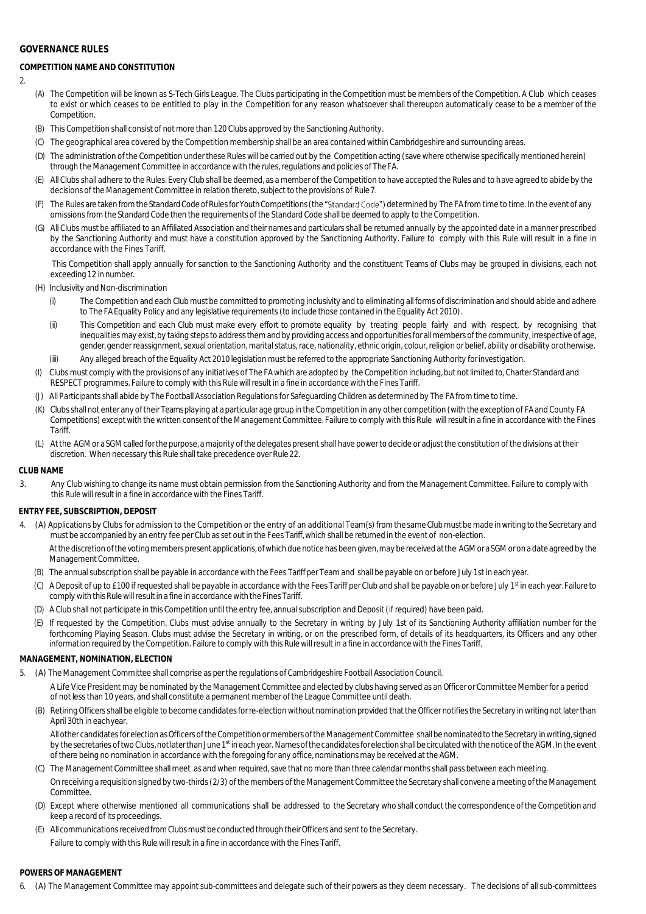## **GOVERNANCE RULES**

# **COMPETITION NAME AND CONSTITUTION**

 $\overline{2}$ 

- (A) The Competition will be known as S-Tech Girls League. The Clubs participating in the Competition must be members of the Competition. A Club which ceases to exist or which ceases to be entitled to play in the Competition for any reason whatsoever shall thereupon automatically cease to be a member of the **Competition**
- (B) This Competition shall consist of not more than 120 Clubs approved by the Sanctioning Authority.
- (C) The geographical area covered by the Competition membership shall be an area contained within Cambridgeshire and surrounding areas.
- (D) The administration of the Competition under these Rules will be carried out by the Competition acting (save where otherwise specifically mentioned herein) through the Management Committee in accordance with the rules, regulations and policies of TheFA.
- (E) All Clubs shall adhere to the Rules. Every Club shall be deemed, as a member of the Competition to have accepted the Rules and to have agreed to abide by the decisions of the Management Committee in relation thereto, subject to the provisions of Rule7.
- (F) The Rules are taken from the Standard Code of Rules for Youth Competitions (the "Standard Code") determined by The FA from time to time. In the event of any omissions from the Standard Code then the requirements of the Standard Code shall be deemed to apply to the Competition.
- (G) All Clubs must be affiliated to an Affiliated Association and their names and particulars shall be returned annually by the appointed date in a manner prescribed by the Sanctioning Authority and must have a constitution approved by the Sanctioning Authority. Failure to comply with this Rule will result in a fine in accordance with the Fines Tariff.

This Competition shall apply annually for sanction to the Sanctioning Authority and the constituent Teams of Clubs may be grouped in divisions, each not exceeding 12 in number.

(H) Inclusivity and Non-discrimination

- (i) The Competition and each Club must be committed to promoting inclusivity and to eliminating all forms of discrimination and should abide and adhere to The FA Equality Policy and any legislative requirements (to include those contained in the Equality Act 2010).
- (ii) This Competition and each Club must make every effort to promote equality by treating people fairly and with respect, by recognising that inequalities may exist, by taking steps to address them and by providing access and opportunities for all members of the community, irrespective of age, gender, gender reassignment, sexual orientation, marital status, race, nationality, ethnic origin, colour, religion or belief, ability or disability orotherwise.
- (iii) Any alleged breach of the Equality Act 2010 legislation must be referred to the appropriate Sanctioning Authority forinvestigation.
- Clubs must comply with the provisions of any initiatives of The FA which are adopted by the Competition including, but not limited to, Charter Standard and RESPECT programmes. Failure to comply with this Rulewill result in a fine in accordancewith the Fines Tariff.
- (J) All Participants shall abide by The Football Association Regulations for Safeguarding Children as determined by The FA from time to time.
- (K) Clubs shall not enter any oftheir Teams playing at a particular age group in the Competition in any other competition (with the exception of FA and County FA Competitions) except with the written consent of the Management Committee. Failure to comply with this Rule will result in a fine in accordance with the Fines **Tariff**
- (L) Atthe AGMor a SGMcalled forthe purpose, a majority ofthe delegates present shall have power to decide or adjust the constitution of the divisions at their discretion. When necessary this Rule shall take precedence over Rule 22.

#### **CLUB NAME**

3. Any Club wishing to change its name must obtain permission from the Sanctioning Authority and from the Management Committee. Failure to comply with this Rule will result in a fine in accordance with the Fines Tariff.

## **ENTRY FEE, SUBSCRIPTION, DEPOSIT**

- 4. (A) Applications by Clubs for admission to the Competition or the entry of an additional Team(s) from the same Club must be made inwriting to the Secretary and must be accompanied by an entry fee per Club as set out in the Fees Tariff, which shall be returned in the event of non-election. At the discretion of the voting members present applications, of which due notice has been given, may be received at the AGM or a SGM or on a date agreed by the Management Committee.
	- (B) The annual subscription shall be payable in accordance with the Fees Tariff per Team and shall be payable on or before July 1st in each year.
	- (C) A Deposit of up to £100 if requested shall be payable in accordance with the Fees Tariff per Club and shall be payable on or before July 1st in each year. Failure to comply with this Rule will result in a fine in accordance with the Fines Tariff.
	- (D) A Club shall not participate in this Competition until the entry fee, annual subscription and Deposit (if required) have been paid.
	- (E) If requested by the Competition, Clubs must advise annually to the Secretary in writing by July 1st of its Sanctioning Authority affiliation number for the forthcoming Playing Season. Clubs must advise the Secretary in writing, or on the prescribed form, of details of its headquarters, its Officers and any other information required by the Competition. Failure to comply with this Rule will result in a fine in accordance with the Fines Tariff.

## **MANAGEMENT, NOMINATION, ELECTION**

- 5. (A) The Management Committee shall comprise as per the regulations of Cambridgeshire Football Association Council.
	- A Life Vice President may be nominated by the Management Committee and elected by clubs having served as an Officer or Committee Member for a period of not less than 10 years, and shall constitute a permanent member of the League Committee until death.
	- (B) Retiring Officers shall be eligible to become candidates for re-election without nomination provided that the Officer notifies the Secretary in writing not later than April 30th in eachyear.

All other candidates for election as Officers of the Competition ormembers of the Management Committee shall be nominated to the Secretary in writing, signed by the secretaries of two Clubs, not later than June 1<sup>st</sup> ineach year. Names of the candidates for election shall be circulated with the notice of the AGM. In the event of there being no nomination in accordance with the foregoing for any office, nominations may be received at the AGM.

- (C) The Management Committee shall meet as and when required, save that no more than three calendar months shall pass between each meeting. On receiving a requisition signed by two-thirds (2/3) of the members of the Management Committee the Secretary shall convene a meeting of the Management **Committee**
- (D) Except where otherwise mentioned all communications shall be addressed to the Secretary who shall conduct the correspondence of the Competition and keep a record of its proceedings.
- (E) All communications received from Clubs must be conducted through theirOfficers and sent to the Secretary. Failure to comply with this Rule will result in a fine in accordance with the Fines Tariff.

## **POWERS OF MANAGEMENT**

6. (A) The Management Committee may appoint sub-committees and delegate such of their powers as they deem necessary. The decisions of all sub-committees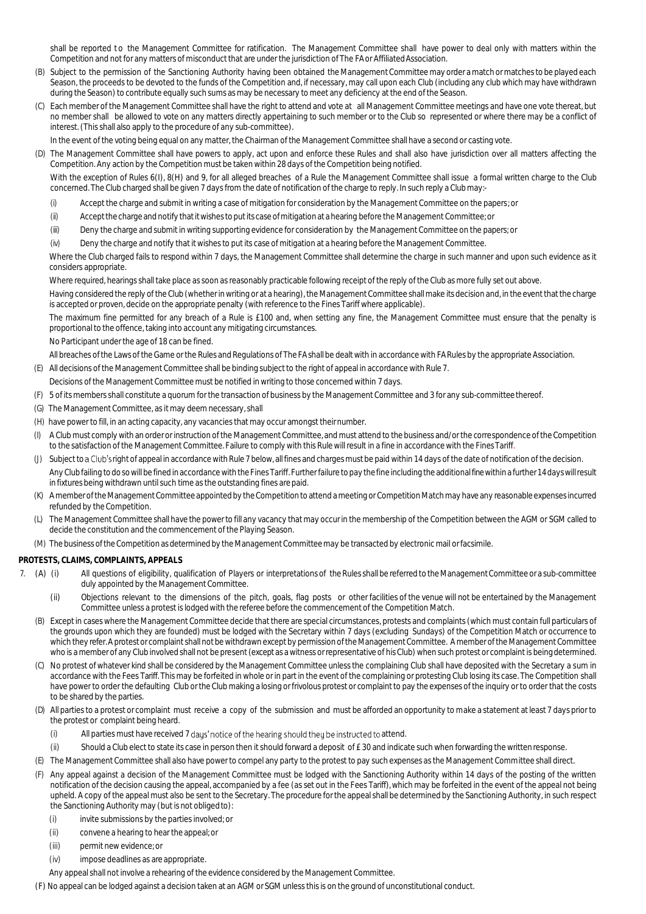shall be reported to the Management Committee for ratification. The Management Committee shall have power to deal only with matters within the Competition and not for any matters of misconduct that are under the jurisdiction of The FA or Affiliated Association.

- (B) Subject to the permission of the Sanctioning Authority having been obtained the Management Committee may order a match or matches to be played each Season, the proceeds to be devoted to the funds of the Competition and, if necessary, may call upon each Club (including any club which may have withdrawn during the Season) to contribute equally such sums as may be necessary to meet any deficiency at the end of the Season.
- (C) Each member of the Management Committee shall have the right to attend and vote at all Management Committee meetings and have one vote thereat, but no member shall be allowed to vote on any matters directly appertaining to such member or to the Club so represented or where there may be a conflict of interest. (This shall also apply to the procedure of any sub-committee).

In the event of the voting being equal on any matter, the Chairman of the Management Committee shall have a second or casting vote.

(D) The Management Committee shall have powers to apply, act upon and enforce these Rules and shall also have jurisdiction over all matters affecting the Competition. Any action by the Competition must be taken within 28 days of the Competition being notified.

With the exception of Rules 6(I), 8(H) and 9, for all alleged breaches of a Rule the Management Committee shall issue a formal written charge to the Club concerned. The Club charged shall be given 7 days from the date of notification of the charge to reply. In such reply a Clubmay:-

- (i) Accept the charge and submit in writing a case of mitigation for consideration by the Management Committee on the papers; or
- (ii) Acceptthecharge and notify thatitwishes toputits case ofmitigationat ahearing before the Management Committee; or
- (iii) Deny the charge and submit in writing supporting evidence for consideration by the Management Committee on the papers; or
- (iv) Deny the charge and notify that it wishes to put its case of mitigation at a hearing before the Management Committee.

Where the Club charged fails to respond within 7 days, the Management Committee shall determine the charge in such manner and upon such evidence as it considers appropriate.

Where required, hearings shall take place as soon as reasonably practicable following receipt of the reply of the Club as more fully set out above.

Having considered the reply of the Club (whether in writing or at a hearing), the Management Committee shall make its decision and, in the event that the charge is accepted or proven, decide on the appropriate penalty (with reference to the Fines Tariff where applicable).

The maximum fine permitted for any breach of a Rule is £100 and, when setting any fine, the Management Committee must ensure that the penalty is proportional to the offence, taking into account any mitigating circumstances.

No Participant under the age of 18 can be fined.

All breaches ofthe Laws of the Game or the Rules and Regulations of The FAshall be dealtwith in accordance with FA Rules by the appropriate Association.

- (E) All decisions of the Management Committee shall be binding subject to the right of appeal in accordance with Rule 7.
- Decisions of the Management Committee must be notified in writing to those concerned within 7 days.
- (F) 5 of its members shall constitute a quorum for the transaction of business by the Management Committee and 3 for any sub-committeethereof.
- (G) The Management Committee, as it may deem necessary, shall
- (H) have power to fill, in an acting capacity, any vacancies that may occur amongst theirnumber.
- (I) A Club must comply with an order or instruction of the Management Committee, and must attend to the business and/or the correspondence of the Competition to the satisfaction of the Management Committee. Failure to comply with this Rule will result in a fine in accordance with the Fines Tariff.
- (J) Subject to a Club's right of appeal in accordance with Rule 7 below, all fines and charges must be paid within 14 days of the date of notification of the decision. Any Club failing to doso will be fined in accordance with the Fines Tariff. Further failure to pay the fine including the additional fine within a further 14 days will result in fixtures being withdrawn until such time as the outstanding fines are paid.
- (K) A member of the Management Committee appointed by the Competition to attend a meeting or Competition Match may have any reasonable expenses incurred refunded by the Competition.
- (L) The Management Committee shall have the power to fill any vacancy that may occur in the membership of the Competition between the AGM or SGM called to decide the constitution and the commencement of the Playing Season.
- (M) The business of the Competition as determined by the Management Committee may be transacted by electronic mail or facsimile.

#### **PROTESTS, CLAIMS, COMPLAINTS, APPEALS**

- 7. (A) (i) All questions of eligibility, qualification of Players or interpretations of the Rules shall be referred to the Management Committee or a sub-committee duly appointed by the Management Committee.
	- (ii) Objections relevant to the dimensions of the pitch, goals, flag posts or other facilities of the venue will not be entertained by the Management Committee unless a protest is lodged with the referee before the commencement of the Competition Match.
	- (B) Except in cases where the Management Committee decide that there are special circumstances, protests and complaints (which must contain full particulars of the grounds upon which they are founded) must be lodged with the Secretary within 7 days (excluding Sundays) of the Competition Match or occurrence to which they refer. A protest or complaint shall not be withdrawn except by permission of the Management Committee. A member of the Management Committee who is a member of any Club involved shall not be present (except as a witness or representative of his Club) when such protest or complaint is being determined.
	- (C) No protest ofwhatever kind shall be considered by the Management Committee unless the complaining Club shall have deposited with the Secretary a sum in accordance with the Fees Tariff. This may be forfeited in whole or in part in the event of the complaining or protesting Club losing its case. The Competition shall have power to order the defaulting Club or the Club making a losing or frivolous protest or complaint to pay the expenses of the inquiry or to order that the costs to be shared by the parties.
	- (D) All parties to a protest or complaint must receive a copy of the submission and must be afforded an opportunity to make a statement at least 7 days prior to the protest or complaint being heard.
		- (i) All parties must have received 7 days' notice of the hearing should they be instructed to attend.
		- (ii) Should a Club elect to state its case in person then it should forward a deposit of £ 30 and indicate such when forwarding the written response.
	- (E) The Management Committee shall also have power to compel any party to the protest to pay such expenses as the Management Committee shall direct.
	- (F) Any appeal against a decision of the Management Committee must be lodged with the Sanctioning Authority within 14 days of the posting of the written notification of the decision causing the appeal, accompanied by a fee (as set out in the Fees Tariff), which may be forfeited in the event of the appeal not being upheld. A copy of the appeal must also be sent to the Secretary. The procedure for the appeal shall be determined by the Sanctioning Authority, in such respect the Sanctioning Authority may (but is not obliged to):
		- (i) invite submissions by the parties involved; or
		- (ii) convene a hearing to hear the appeal; or
		- (iii) permit new evidence; or
		- (iv) impose deadlines as are appropriate.
		- Any appeal shall not involve a rehearing of the evidence considered by the Management Committee.

(F) No appeal can be lodged against a decision taken at an AGM or SGM unless this is on the ground of unconstitutional conduct.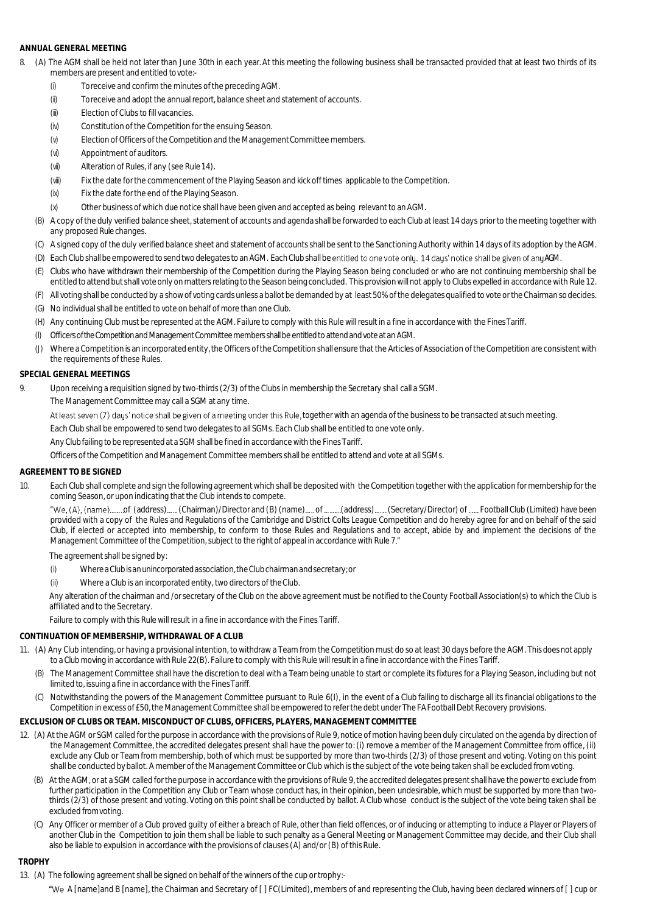## **ANNUAL GENERAL MEETING**

- 8. (A) The AGM shall be held not later than June 30th in each year. At this meeting the following business shall be transacted provided that at least two thirds of its members are present and entitled tovote:-
	- (i) To receive and confirm the minutes of the precedingAGM.
	- (ii) To receive and adopt the annual report, balance sheet and statement of accounts.
	- (iii) Election of Clubs to fill vacancies.
	- (iv) Constitution of the Competition for the ensuing Season.
	- (v) Election of Officers of the Competition and the Management Committee members.
	- (vi) Appointment of auditors.
	- (vii) Alteration of Rules, if any (see Rule 14).
	- (viii) Fix the date for the commencement of the Playing Season and kick off times applicable to the Competition.
	- (ix) Fix the date for the end of the Playing Season.
	- (x) Other business of which due notice shall have been given and accepted as being relevant to anAGM.
	- (B) A copy of the duly verified balance sheet, statement of accounts and agenda shall be forwarded to each Club at least 14 days prior to the meeting together with any proposed Rule changes.
	- (C) A signed copy of the duly verified balance sheet and statement of accounts shall be sent to the Sanctioning Authority within 14 days of its adoption by theAGM.
	- (D) Each Club shall be empowered to send two delegates to an AGM. Each Club shall be entitled to one vote only. 14 days' notice shall be given of any AGM.
	- (E) Clubs who have withdrawn their membership of the Competition during the Playing Season being concluded or who are not continuing membership shall be entitled to attendbut shall vote only onmatters relating to the Season beingconcluded. This provisionwill not apply to Clubs expelled in accordance with Rule 12.
	- (F) All voting shall be conducted by a show of voting cards unless a ballot be demanded by at least 50% of the delegates qualified to vote or the Chairman sodecides.
	- (G) No individual shall be entitled to vote on behalf of more than one Club.
	- (H) Any continuing Club must be represented at the AGM. Failure to comply with this Rule will result in a fine in accordance with the FinesTariff.
	- (I) Officers of the Competition and Management Committee members shall be entitled to attend and vote at an AGM.
	- (J) Where a Competition is an incorporated entity, the Officers of the Competition shall ensure that the Articles of Association of the Competition are consistent with the requirements of these Rules.

## **SPECIAL GENERAL MEETINGS**

- 9. Upon receiving a requisition signed by two-thirds (2/3) of the Clubs in membership the Secretary shall call a SGM.
	- The Management Committee may call a SGM at any time.

At least seven (7) days' notice shall be given of a meeting under this Rule, together with an agenda of the business to be transacted at such meeting.

Each Club shall be empowered to send two delegates to all SGMs. Each Club shall be entitled to one vote only.

Any Club failing to be represented at a SGM shall be fined in accordance with the Fines Tariff.

Officers of the Competition and Management Committee members shall be entitled to attend and vote at all SGMs.

## **AGREEMENT TO BE SIGNED**

10. Each Club shall complete and sign the following agreement which shall be deposited with the Competition together with the application for membership for the coming Season, or upon indicating that the Club intends to compete.

"We, (A), (name) ........of (address) ...... (Chairman)/Director and (B) (name) ..... of ...........(address) ....... (Secretary/Director) of ...... Football Club (Limited) have been provided with a copy of the Rules and Regulations of the Cambridge and District Colts League Competition and do hereby agree for and on behalf of the said Club, if elected or accepted into membership, to conform to those Rules and Regulations and to accept, abide by and implement the decisions of the Management Committee of the Competition, subject to the right of appeal in accordance with Rule 7."

The agreement shall be signed by:

- (i) WhereaClubisanunincorporatedassociation,theClubchairmanandsecretary;or
- (ii) Where a Club is an incorporated entity, two directors of theClub.

Any alteration of the chairman and /or secretary of the Club on the above agreement must be notified to the County Football Association(s) to which the Club is affiliated and to the Secretary.

Failure to comply with this Rule will result in a fine in accordance with the Fines Tariff.

## **CONTINUATION OF MEMBERSHIP, WITHDRAWAL OF A CLUB**

- 11. (A) Any Club intending, or having a provisional intention, to withdraw a Team from the Competition must do so at least 30 days before the AGM. This does not apply to a Club moving in accordance with Rule 22(B). Failure to comply with this Rule will result in a fine in accordancewith the Fines Tariff.
	- (B) The Management Committee shall have the discretion to deal with a Team being unable to start or complete its fixtures for a Playing Season, including but not limited to, issuing a fine in accordance with the FinesTariff.
	- (C) Notwithstanding the powers of the Management Committee pursuant to Rule 6(I), in the event of a Club failing to discharge all its financial obligations to the Competition in excess of £50, the Management Committee shall be empowered to refer the debt under The FA Football Debt Recovery provisions.

#### **EXCLUSION OF CLUBS OR TEAM. MISCONDUCT OF CLUBS, OFFICERS, PLAYERS, MANAGEMENT COMMITTEE**

- 12. (A) At the AGM or SGM called for the purpose in accordance with the provisions of Rule 9, notice of motion having been duly circulated on the agenda by direction of the Management Committee, the accredited delegates present shall have the power to: (i) remove a member of the Management Committee from office, (ii) exclude any Club or Team from membership, both of which must be supported by more than two-thirds (2/3) of those present and voting. Voting on this point shall be conducted byballot. A member of the Management Committee or Club which is the subject of the vote being taken shall be excluded fromvoting.
	- (B) At the AGM, or at a SGM called for the purpose in accordance with the provisions of Rule 9, the accredited delegates present shall have the power to exclude from further participation in the Competition any Club or Team whose conduct has, in their opinion, been undesirable, which must be supported by more than twothirds (2/3) of those present and voting. Voting on this point shall be conducted by ballot. A Club whose conduct is the subject of the vote being taken shall be excluded fromvoting.
	- (C) Any Officer or member of a Club proved guilty of either a breach of Rule, other than field offences, or of inducing or attempting to induce a Player or Players of another Club in the Competition to join them shall be liable to such penalty as a General Meeting or Management Committee may decide, and their Club shall also be liable to expulsion in accordance with the provisions of clauses (A) and/or (B) of this Rule.

## **TROPHY**

#### 13. (A) The following agreement shall be signed on behalf of the winners of the cup or trophy:-

"We A [name]and B [name], the Chairman and Secretary of [] FC(Limited), members of and representing the Club, having been declared winners of [] cup or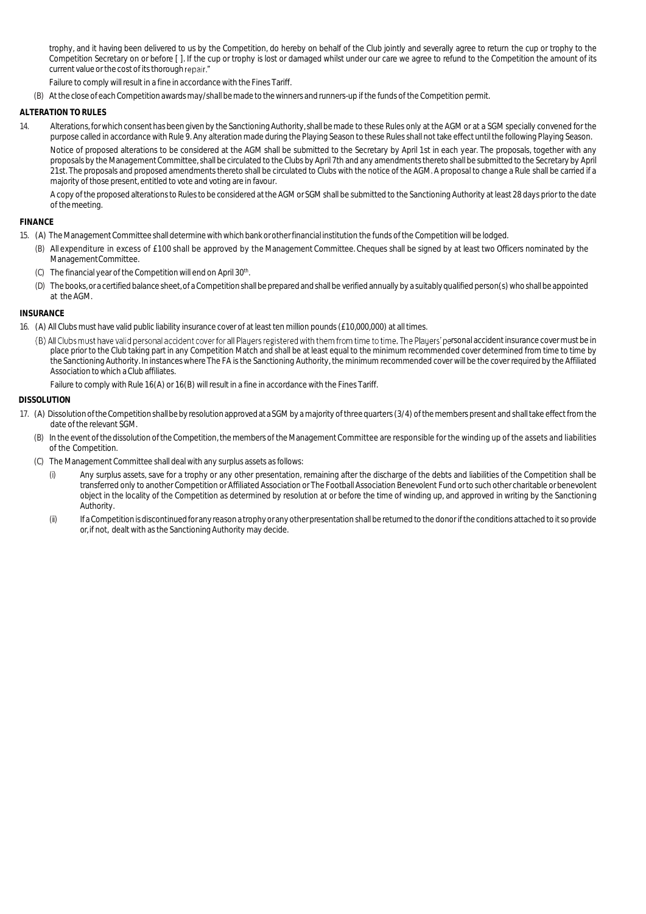trophy, and it having been delivered to us by the Competition, do hereby on behalf of the Club jointly and severally agree to return the cup or trophy to the Competition Secretary on or before [ ]. If the cup or trophy is lost or damaged whilst under our care we agree to refund to the Competition the amount of its current value or the cost of its thorough repair."

Failure to comply will result in a fine in accordance with the Fines Tariff.

(B) Atthe close of eachCompetition awards may/shall be made to thewinners and runners-up if the funds of the Competition permit.

## **ALTERATION TO RULES**

14. Alterations, for which consent has been given by the Sanctioning Authority, shall be made to these Rules only at the AGM or at a SGM specially convened for the purpose called in accordance with Rule 9. Any alteration made during the Playing Season to these Rules shall not take effect until the following Playing Season. Notice of proposed alterations to be considered at the AGM shall be submitted to the Secretary by April 1st in each year. The proposals, together with any proposals by the Management Committee, shall be circulated to the Clubs by April 7th and any amendments thereto shall be submitted to the Secretary by April 21st. The proposals and proposed amendments thereto shall be circulated to Clubs with the notice of the AGM. A proposal to change a Rule shall be carried if a majority of those present, entitled to vote and voting are in favour.

A copy ofthe proposed alterations to Rules to be considered atthe AGM or SGM shall be submitted to the Sanctioning Authority at least 28 days prior to the date of themeeting.

#### **FINANCE**

- 15. (A) The Management Committee shall determinewithwhich bank or otherfinancial institution the funds of the Competition will be lodged.
	- (B) All expenditure in excess of £100 shall be approved by the Management Committee. Cheques shall be signed by at least two Officers nominated by the ManagementCommittee.
	- (C) The financial year of the Competition will end on April 30<sup>th</sup>. .
	- (D) The books, or a certified balance sheet, of a Competition shall be prepared and shall be verified annually by a suitably qualified person(s) who shall be appointed at the AGM.

#### **INSURANCE**

- 16. (A) All Clubs must have valid public liability insurance cover of at least ten million pounds (£10,000,000) at all times.
	- (B) All Clubs must have valid personal accident cover for all Plauers registered with them from time to time. The Plauers' personal accident insurance cover must be in place prior to the Club taking part in any Competition Match and shall be at least equal to the minimum recommended cover determined from time to time by the Sanctioning Authority. In instanceswhere The FA is the Sanctioning Authority, the minimum recommended cover will be the cover required by the Affiliated Association towhich a Club affiliates.

Failure to comply with Rule 16(A) or 16(B) will result in a fine in accordance with the Fines Tariff.

#### **DISSOLUTION**

- 17. (A) DissolutionoftheCompetitionshallbeby resolutionapprovedataSGM by a majority ofthree quarters (3/4) ofthe members present and shalltake effectfrom the date of the relevant SGM.
	- (B) In the event of the dissolution of the Competition, the members of the Management Committee are responsible for the winding up of the assets and liabilities of the Competition.
	- (C) The Management Committee shall deal with any surplus assets as follows:
		- (i) Any surplus assets, save for a trophy or any other presentation, remaining after the discharge of the debts and liabilities of the Competition shall be transferred only to another Competition or Affiliated Association or The Football Association Benevolent Fund orto such other charitable or benevolent object in the locality of the Competition as determined by resolution at or before the time of winding up, and approved in writing by the Sanctioning Authority.
		- (ii) IfaCompetitionisdiscontinuedforanyreasonatrophyoranyotherpresentation shall be returned to the donor if the conditions attached to it so provide or, if not, dealt with as the Sanctioning Authority may decide.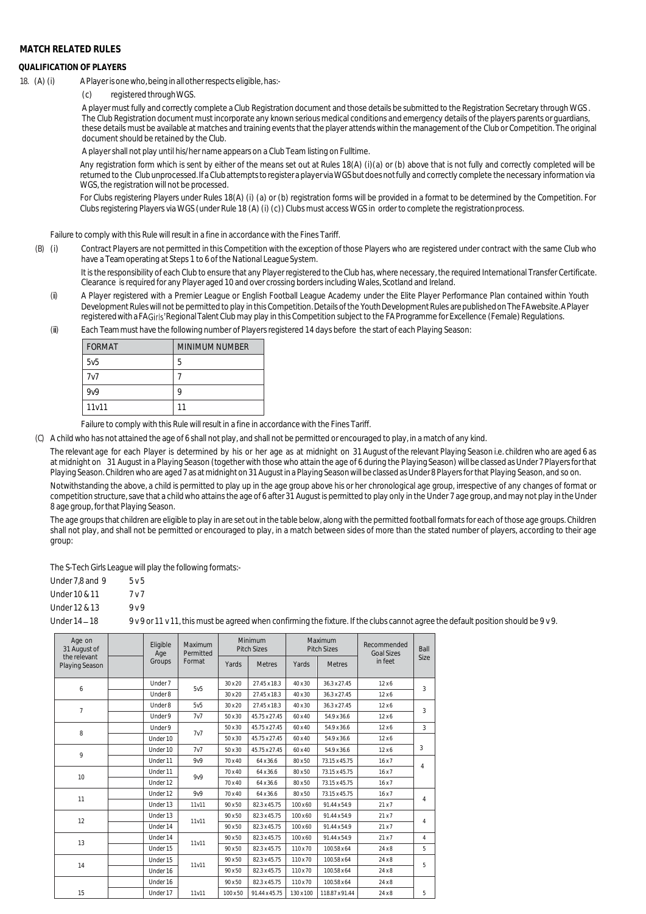## **MATCH RELATED RULES**

#### **QUALIFICATION OF PLAYERS**

- 18. (A) (i) A Player is one who, being in all other respects eligible, has:-
	- (c) registered throughWGS.

A player must fully and correctly complete a Club Registration document and those details be submitted to the Registration Secretary through WGS . The Club Registration document must incorporate any known serious medical conditions and emergency details of the players parents or guardians, these details must be available at matches and training events that the player attends within the management of the Club or Competition. The original document should be retained by the Club.

A player shall not play until his/her name appears on a Club Team listing on Fulltime.

Any registration form which is sent by either of the means set out at Rules 18(A) (i)(a) or (b) above that is not fully and correctly completed will be returned to the Clubunprocessed.Ifa Clubattempts toregisteraplayer viaWGSbutdoesnotfully and correctly complete the necessary information via WGS, the registration will not be processed.

For Clubs registering Players under Rules 18(A) (i) (a) or (b) registration forms will be provided in a format to be determined by the Competition. For Clubs registering Players via WGS (under Rule 18 (A) (i) (c)) Clubs must access WGS in order to complete the registrationprocess.

Failure to comply with this Rule will result in a fine in accordance with the Fines Tariff.

(B) (i) Contract Players are not permitted in this Competition with the exception of those Players who are registered under contract with the same Club who have a Team operating at Steps 1 to 6 of the National League System.

It is the responsibility of each Club to ensure that any Player registered to the Club has, where necessary, the required International Transfer Certificate. Clearance is required for any Player aged 10 and over crossing borders including Wales, Scotland and Ireland.

- (ii) A Player registered with a Premier League or English Football League Academy under the Elite Player Performance Plan contained within Youth Development Rules will not be permitted to play in this Competition. Details of the Youth Development Rules arepublishedonTheFAwebsite.APlayer registered with a FA Girls' Regional Talent Club may play in this Competition subject to the FA Programme for Excellence (Female) Regulations.
- (iii) Each Team must have the following number of Players registered 14 days before the start of each Playing Season:

| FORMAT           | MINIMUM NUMBER |
|------------------|----------------|
| 5v5              | 5              |
| 7v7              |                |
| 9 <sub>V</sub> 9 | a              |
| 11v11            |                |

Failure to comply with this Rule will result in a fine in accordance with the Fines Tariff.

(C) A child who has not attained the age of 6 shall not play, and shall not be permitted or encouraged to play, in a match of any kind.

The relevant age for each Player is determined by his or her age as at midnight on 31 August of the relevant Playing Season i.e. children who are aged 6 as at midnight on 31 August in a Playing Season (together with those who attain the age of 6 during the Playing Season)willbe classed asUnder 7 Players forthat Playing Season. Children who are aged 7 as at midnight on 31 August in a Playing Season will be classed as Under 8 Players for that Playing Season, and so on.

Notwithstanding the above, a child is permitted to play up in the age group above his or her chronological age group, irrespective of any changes of format or competition structure, save that a child who attains the age of 6 after 31 August is permitted to play only in the Under 7 age group, and may not play in the Under 8 age group, for that Playing Season.

The age groups that children are eligible to play in are set out in the table below, along with the permitted football formats for each of those age groups. Children shall not play, and shall not be permitted or encouraged to play, in a match between sides of more than the stated number of players, according to their age group:

The S-Tech Girls League will play the following formats:-

| Under 7.8 and 9 | 5v5            |
|-----------------|----------------|
| Under 10 & 11   | 7 <sub>V</sub> |
| Under 12 & 13   | 9 <sub>V</sub> |

| UILUEI IZ QI I J | 9 V 9                                                                                                                              |
|------------------|------------------------------------------------------------------------------------------------------------------------------------|
| Under 14 – 18    | 9 v 9 or 11 v 11, this must be agreed when confirming the fixture. If the clubs cannot agree the default position should be 9 v 9. |

| Age on<br>31 August of         |  |          | Eligible<br>Maximum<br>Permitted<br>Age |          | Minimum<br><b>Pitch Sizes</b> |           | Maximum<br><b>Pitch Sizes</b> | Recommended<br><b>Goal Sizes</b> | Ball           |
|--------------------------------|--|----------|-----------------------------------------|----------|-------------------------------|-----------|-------------------------------|----------------------------------|----------------|
| the relevant<br>Playing Season |  | Groups   | Format                                  | Yards    | <b>Metres</b>                 | Yards     | <b>Metres</b>                 | in feet                          | Size           |
|                                |  | Under 7  | 5 <sub>v</sub> 5                        | 30 x 20  | 27.45 x 18.3                  | 40 x 30   | 36.3 x 27.45                  | 12x6                             | 3              |
| 6                              |  | Under 8  |                                         | 30 x 20  | 27.45 x 18.3                  | 40 x 30   | 36.3 x 27.45                  | 12x6                             |                |
| 7                              |  | Under 8  | 5v5                                     | 30 x 20  | 27.45 x 18.3                  | 40 x 30   | 36.3 x 27.45                  | 12x6                             | 3              |
|                                |  | Under 9  | 7v7                                     | 50 x 30  | 45.75 x 27.45                 | 60 x 40   | 54.9 x 36.6                   | 12x6                             |                |
|                                |  | Under 9  | 7v7                                     | 50 x 30  | 45.75 x 27.45                 | 60 x 40   | 54.9 x 36.6                   | 12x6                             | 3              |
| 8                              |  | Under 10 |                                         | 50 x 30  | 45.75 x 27.45                 | 60 x 40   | 54.9 x 36.6                   | 12x6                             |                |
|                                |  | Under 10 | 7v7                                     | 50 x 30  | 45.75 x 27.45                 | 60 x 40   | 54.9 x 36.6                   | 12x6                             | 3              |
| 9                              |  | Under 11 | 9 <sub>V</sub> 9                        | 70 x 40  | 64 x 36.6                     | 80 x 50   | 73.15 x 45.75                 | 16x7                             |                |
| 10                             |  | Under 11 | 9 <sub>V</sub> 9                        | 70 x 40  | 64 x 36.6                     | 80 x 50   | 73.15 x 45.75                 | 16x7                             | 4              |
|                                |  | Under 12 |                                         | 70 x 40  | 64 x 36.6                     | 80 x 50   | 73.15 x 45.75                 | 16x7                             |                |
| 11                             |  | Under 12 | 9 <sub>V</sub> 9                        | 70 x 40  | 64 x 36.6                     | 80 x 50   | 73.15 x 45.75                 | 16x7                             |                |
|                                |  | Under 13 | 11v11                                   | 90 x 50  | 82.3 x 45.75                  | 100 x 60  | 91.44 x 54.9                  | 21x7                             | 4              |
| 12                             |  | Under 13 |                                         | 90 x 50  | 82.3 x 45.75                  | 100 x 60  | 91.44 x 54.9                  | 21x7                             |                |
|                                |  | Under 14 | 11v11                                   | 90 x 50  | 82.3 x 45.75                  | 100 x 60  | 91.44 x 54.9                  | 21x7                             | $\overline{4}$ |
|                                |  | Under 14 |                                         | 90 x 50  | 82.3 x 45.75                  | 100 x 60  | 91.44 x 54.9                  | 21x7                             | $\overline{4}$ |
| 13                             |  | Under 15 | 11v11                                   | 90 x 50  | 82.3 x 45.75                  | 110 x 70  | 100.58 x 64                   | 24x8                             | 5              |
|                                |  | Under 15 |                                         | 90 x 50  | 82.3 x 45.75                  | 110 x 70  | 100.58 x 64                   | 24x8                             |                |
| 14                             |  | Under 16 | 11v11                                   | 90 x 50  | 82.3 x 45.75                  | 110 x 70  | 100.58 x 64                   | 24x8                             | 5              |
|                                |  | Under 16 |                                         | 90 x 50  | 82.3 x 45.75                  | 110 x 70  | 100.58 x 64                   | 24x8                             |                |
| 15                             |  | Under 17 | 11v11                                   | 100 x 50 | 91.44 x 45.75                 | 130 x 100 | 118.87 x 91.44                | 24x8                             | 5              |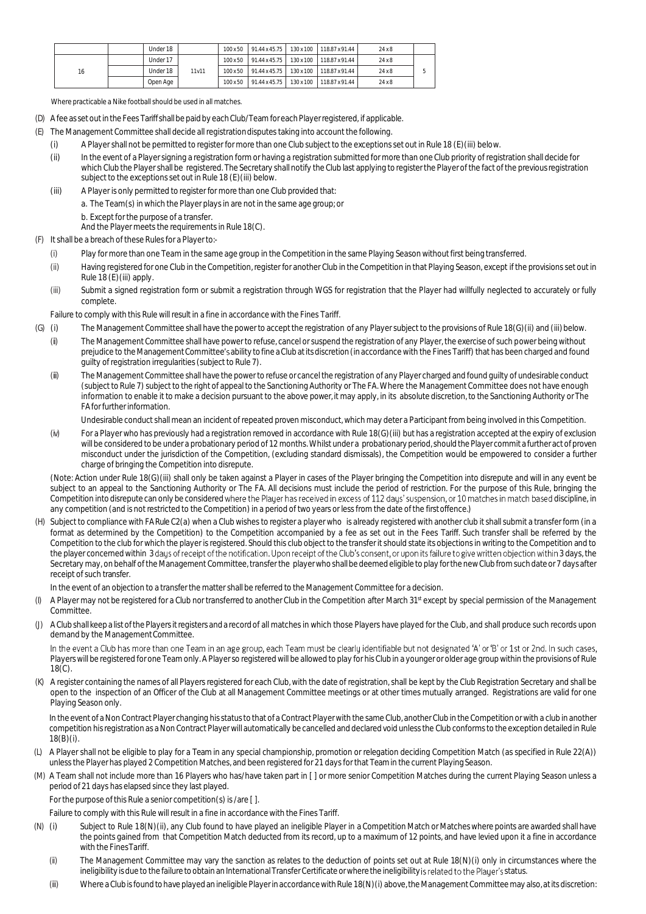|    | Under 18 |       |  | 100 x 50   91.44 x 45.75   130 x 100   118.87 x 91.44 | 24x8 |  |
|----|----------|-------|--|-------------------------------------------------------|------|--|
| 16 | Under 17 |       |  | 100 x 50   91.44 x 45.75   130 x 100   118.87 x 91.44 | 24x8 |  |
|    | Under 18 | 11v11 |  | 100 x 50   91.44 x 45.75   130 x 100   118.87 x 91.44 | 24x8 |  |
|    | Open Age |       |  | 100 x 50   91.44 x 45.75   130 x 100   118.87 x 91.44 | 24x8 |  |

Where practicable a Nike football should be used in all matches.

- (D) Afee as set out in the Fees Tariff shall be paid by each Club/Team for each Player registered, if applicable.
- (E) The Management Committee shall decide all registrationdisputes taking into account the following.
	- (i) A Player shall not be permitted to register for more than one Club subject to the exceptions set out in Rule 18 (E)(iii) below.
	- (ii) In the event of a Player signing a registration form or having a registration submitted for more than one Club priority of registration shall decide for which Club the Player shall be registered. The Secretary shall notify the Club last applying to register the Player of the fact of the previous registration subject to the exceptions set out in Rule 18 (E)(iii) below.
	- (iii) A Player is only permitted to register for more than one Club provided that:
		- a. The Team(s) in which the Player plays in are not in the same age group; or
			- b. Except for the purpose of a transfer.

And the Player meets the requirements in Rule 18(C).

- (F) It shall be a breach of these Rules for a Playerto:-
	- (i) Play for more than one Team in the same age group in the Competition in the same Playing Season without first being transferred.
	- (ii) Having registered for one Club in the Competition, register for another Club in the Competition in that Playing Season, except if the provisions set out in Rule 18 (E)(iii) apply.
	- (iii) Submit a signed registration form or submit a registration through WGS for registration that the Player had willfully neglected to accurately or fully complete.

Failure to comply with this Rule will result in a fine in accordance with the Fines Tariff.

- (G) (i) The Management Committee shall have the power to accept the registration of any Player subject to the provisions of Rule 18(G)(ii) and (iii)below.
	- (ii) The Management Committee shall have power to refuse, cancel or suspend the registration of any Player, the exercise of such power being without prejudice to the Management Committee's ability to fine a Club at its discretion (in accordance with the Fines Tariff) that has been charged and found guilty of registration irregularities (subject to Rule 7).
	- (iii) The Management Committee shall have the power to refuse or cancel the registration of any Player charged and found guilty of undesirable conduct (subject to Rule 7) subject to the right of appeal to the Sanctioning Authority or The FA. Where the Management Committee does not have enough information to enable it to make a decision pursuant to the above power, it may apply, in its absolute discretion, to the Sanctioning Authority or The FA forfurtherinformation.

Undesirable conduct shall mean an incident of repeated proven misconduct, which may deter a Participant from being involved in this Competition.

(iv) For a Player who has previously had a registration removed in accordance with Rule 18(G)(iii) but has a registration accepted at the expiry of exclusion will be considered to be under a probationary period of 12 months. Whilst under a probationaryperiod, should the Player commit a further act of proven misconduct under the jurisdiction of the Competition, (excluding standard dismissals), the Competition would be empowered to consider a further charge of bringing the Competition into disrepute.

(Note: Action under Rule 18(G)(iii) shall only be taken against a Player in cases of the Player bringing the Competition into disrepute and will in any event be subject to an appeal to the Sanctioning Authority or The FA. All decisions must include the period of restriction. For the purpose of this Rule, bringing the Competition into disrepute can only be considered where the Player has received in excess of 112 days' suspension, or 10 matches in match based discipline, in any competition (and is not restricted to the Competition) in a period of two years or less from the date of the firstoffence.)

(H) Subject to compliance with FA Rule C2(a) when a Club wishes to register a player who is already registered with another club it shall submit a transfer form (in a format as determined by the Competition) to the Competition accompanied by a fee as set out in the Fees Tariff. Such transfer shall be referred by the Competition to the club for which the player is registered. Should this club object to the transfer it should state its objections in writing to the Competition and to the player concerned within 3 days of receipt of the notification. Upon receipt of the Club's consent, or upon its failure to give written objection within 3 days, the Secretary may, on behalf of the Management Committee, transfer the playerwho shall be deemed eligible to play forthe newClub from such date or 7 days after receipt of such transfer.

In the event of an objection to a transfer the matter shall be referred to the Management Committee for a decision.

- (I) A Player may not be registered for a Club nor transferred to another Club in the Competition after March 31<sup>st</sup> except by special permission of the Management Committee.
- (J) AClub shall keep a list ofthe Players itregisters and a recordof all matches in which those Players have played for the Club, and shall produce such records upon demand by the Management Committee.

In the event a Club has more than one Team in an age group, each Team must be clearly identifiable but not designated 'A' or 'B' or 1st or 2nd. In such cases, Players will be registered for one Team only. A Player so registered will be allowed to play for his Club in a younger or older age group within the provisions of Rule 18(C).

(K) A register containing the names of all Players registered for each Club, with the date of registration, shall be kept by the Club Registration Secretary and shall be open to the inspection of an Officer of the Club at all Management Committee meetings or at other times mutually arranged. Registrations are valid for one Playing Season only.

In the event of a Non Contract Player changing his status to that of a Contract Player with the same Club, another Club in the Competition or with a club in another competition his registration as a Non Contract Player will automatically be cancelled and declared void unless the Club conforms to the exception detailed in Rule 18(B)(i).

- (L) A Player shall not be eligible to play for a Team in any special championship, promotion or relegation deciding Competition Match (as specified in Rule 22(A)) unless the Player has played 2 Competition Matches, and been registered for 21 days for that Team in the current Playing Season.
- (M) A Team shall not include more than 16 Players who has/have taken part in [ ] or more senior Competition Matches during the current Playing Season unless a period of 21 days has elapsed since they last played.

For the purpose of this Rule a senior competition(s) is /are [ ].

Failure to comply with this Rule will result in a fine in accordance with the Fines Tariff.

- (N) (i) Subject to Rule 18(N)(ii), any Club found to have played an ineligible Player in a Competition Match or Matches where points are awarded shall have the points gained from that Competition Match deducted from its record, up to a maximum of 12 points, and have levied upon it a fine in accordance with the FinesTariff.
	- (ii) The Management Committee may vary the sanction as relates to the deduction of points set out at Rule 18(N)(i) only in circumstances where the ineligibility is due to the failure to obtain an International Transfer Certificate or where the ineligibility is related to the Player's status.
	- (iii) Where a Club is found to have played an ineligible Player in accordance with Rule 18(N)(i) above, the Management Committee may also, at its discretion: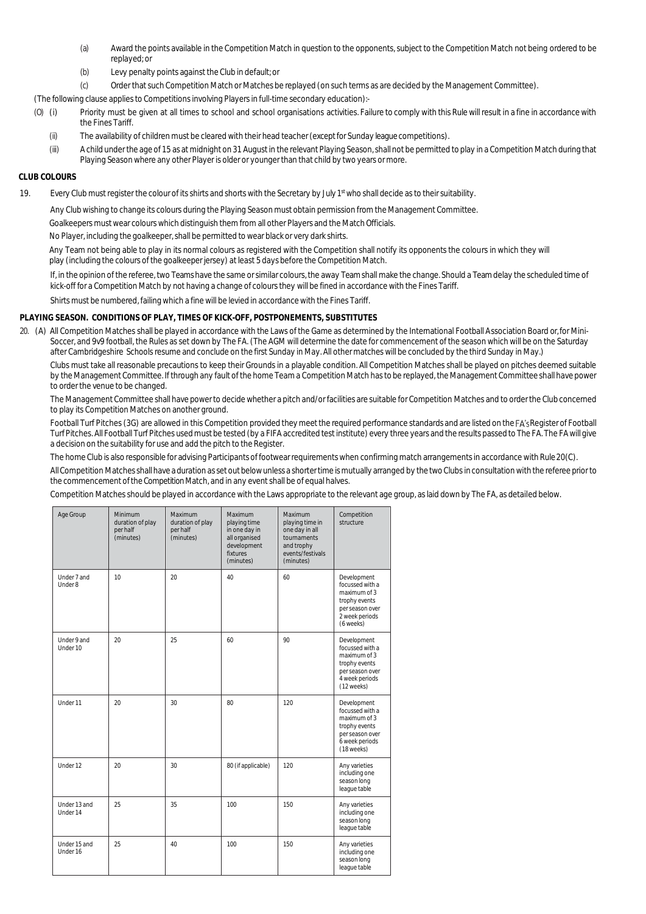- (a) Award the points available in the Competition Match in question to the opponents, subject to the Competition Match not being ordered to be replayed; or
- (b) Levy penalty points against the Club in default; or
- (c) Order that such Competition Match or Matches be replayed (on such terms as are decided by the Management Committee).

(The following clause applies to Competitions involving Players in full-time secondary education):-

- (O) (i) Priority must be given at all times to school and school organisations activities. Failure to comply with this Rule will result in a fine in accordance with the Fines Tariff.
	- (ii) The availability of children must be cleared with their head teacher (except for Sunday league competitions).
	- (iii) A child under the age of 15 as at midnight on 31 August in the relevant Playing Season, shall not be permitted to play in a Competition Match during that Playing Season where any other Player is older or younger than that child by two years or more.

#### **CLUB COLOURS**

19. Every Club must register the colour of its shirts and shorts with the Secretary by July 1st who shall decide as to their suitability.

Any Club wishing to change its colours during the Playing Season must obtain permission from the Management Committee.

Goalkeepers must wear colours which distinguish them from all other Players and the Match Officials.

No Player, including the goalkeeper, shall be permitted to wear black or very dark shirts.

Any Team not being able to play in its normal colours as registered with the Competition shall notify its opponents the colours in which they will play (including the colours of the goalkeeper jersey) at least 5 days before the Competition Match.

If, in the opinion of the referee, two Teams have the same or similar colours, the away Team shall make the change. Should a Team delay the scheduled time of kick-off for a Competition Match by not having a change of colours they will be fined in accordance with the Fines Tariff.

Shirts must be numbered, failing which a fine will be levied in accordance with the Fines Tariff.

#### **PLAYING SEASON. CONDITIONS OF PLAY, TIMES OF KICK-OFF, POSTPONEMENTS, SUBSTITUTES**

20. (A) All Competition Matches shall be played in accordance with the Laws of the Game as determined by the International Football Association Board or, for Mini-Soccer, and 9v9 football, the Rules as set down by The FA. (The AGM will determine the date for commencement of the season which will be on the Saturday after Cambridgeshire Schools resume and conclude on the first Sunday in May. All other matches will be concluded by the third Sunday in May.)

Clubs must take all reasonable precautions to keep their Grounds in a playable condition. All Competition Matches shall be played on pitches deemed suitable by the Management Committee. If through any fault of the home Team a Competition Match has to be replayed, the Management Committee shall have power to order the venue to be changed.

The Management Committee shall have power to decide whether a pitch and/or facilities are suitable for Competition Matches and to order the Club concerned to play its Competition Matches on another ground.

Football Turf Pitches (3G) are allowed in this Competition provided they meet the required performance standards and are listed on the FA's Register of Football TurfPitches. All Football Turf Pitches used must be tested (by a FIFA accredited test institute) every three years and the results passed to The FA. The FA will give a decision on the suitability for use and add the pitch to the Register.

The home Club is also responsible for advising Participants of footwearrequirementswhen confirming match arrangements in accordance with Rule20(C).

All Competition Matches shall have a duration as set out below unless a shorter time is mutually arranged by the two Clubs in consultation with the referee prior to the commencement of the Competition Match, and in any event shall be of equal halves.

Competition Matches should be played in accordance with the Laws appropriate to the relevant age group, as laid down by The FA, as detailed below.

| Age Group                | <b>Minimum</b><br>duration of play<br>per half<br>(minutes) | Maximum<br>duration of play<br>per half<br>(minutes) | <b>Maximum</b><br>playing time<br>in one day in<br>all organised<br>development<br>fixtures<br>(minutes) | Maximum<br>playing time in<br>one day in all<br>tournaments<br>and trophy<br>events/festivals<br>(minutes) | Competition<br>structure                                                                                           |
|--------------------------|-------------------------------------------------------------|------------------------------------------------------|----------------------------------------------------------------------------------------------------------|------------------------------------------------------------------------------------------------------------|--------------------------------------------------------------------------------------------------------------------|
| Under 7 and<br>Under 8   | 10                                                          | 20                                                   | 40                                                                                                       | 60                                                                                                         | Development<br>focussed with a<br>maximum of 3<br>trophy events<br>per season over<br>2 week periods<br>(6 weeks)  |
| Under 9 and<br>Under 10  | 20                                                          | 25                                                   | 60                                                                                                       | 90                                                                                                         | Development<br>focussed with a<br>maximum of 3<br>trophy events<br>per season over<br>4 week periods<br>(12 weeks) |
| Under 11                 | $20 -$                                                      | 30                                                   | 80                                                                                                       | 120                                                                                                        | Development<br>focussed with a<br>maximum of 3<br>trophy events<br>per season over<br>6 week periods<br>(18 weeks) |
| Under 12                 | 20                                                          | 30                                                   | 80 (if applicable)                                                                                       | 120                                                                                                        | Any varieties<br>including one<br>season long<br>league table                                                      |
| Under 13 and<br>Under 14 | 25                                                          | 35                                                   | 100                                                                                                      | 150                                                                                                        | Any varieties<br>including one<br>season long<br>league table                                                      |
| Under 15 and<br>Under 16 | 25                                                          | 40                                                   | 100                                                                                                      | 150                                                                                                        | Any varieties<br>including one<br>season long<br>league table                                                      |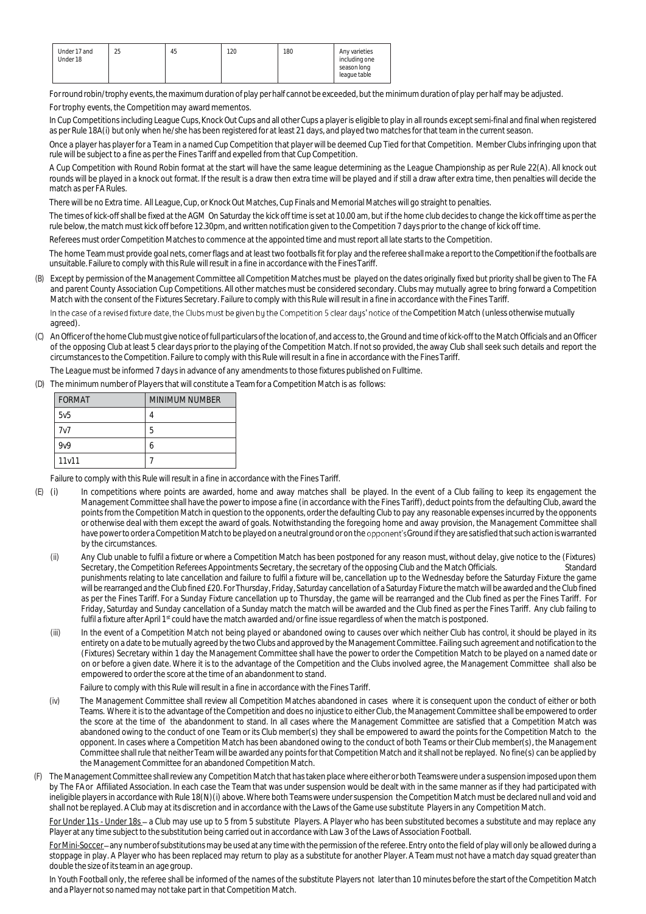| Under 17 and<br>Under 18 | 25 | 45 | 120 | 180 | Any varieties<br>including one |
|--------------------------|----|----|-----|-----|--------------------------------|
|                          |    |    |     |     | season long<br>league table    |

Forround robin/trophy events,the maximum durationof play per half cannot be exceeded, but the minimum duration of play per half may be adjusted. For trophy events, the Competition may award mementos.

In Cup Competitions including League Cups, Knock Out Cups and all other Cups a player is eligible to play in all rounds except semi-final and final when registered as per Rule 18A(i) but only when he/she has been registered for at least 21 days, and played two matches for that team in the current season.

Once a player has player for a Team in a named Cup Competition that player will be deemed Cup Tied for that Competition. Member Clubs infringing upon that rule will be subject to a fine as per the Fines Tariff and expelled from that Cup Competition.

A Cup Competition with Round Robin format at the start will have the same league determining as the League Championship as per Rule 22(A). All knock out rounds will be played in a knock out format. If the result is a draw then extra time will be played and if still a draw after extra time, then penalties will decide the match as per FA Rules.

There will be no Extra time. All League, Cup, or Knock Out Matches, Cup Finals and Memorial Matches will go straight to penalties.

The times of kick-off shall be fixed at the AGM On Saturday the kick off time is set at 10.00 am, but if the home club decides to change the kick off time as per the rule below, the match must kick off before 12.30pm, and written notification given to the Competition 7 days prior to the change of kick off time.

Referees must order Competition Matches to commence at the appointed time and must report all late starts to the Competition.

The home Team must provide goal nets, corner flags and at least two footballs fit for play and the referee shall make a report to the Competition if the footballs are unsuitable. Failure to comply with this Rule will result in a fine in accordance with the FinesTariff.

(B) Except by permission of the Management Committee all Competition Matches must be played on the dates originally fixed but priority shall be given to The FA and parent County Association Cup Competitions. All other matches must be considered secondary. Clubs may mutually agree to bring forward a Competition Match with the consent of the Fixtures Secretary. Failure to comply with this Rule will result in a fine in accordancewith the Fines Tariff.

In the case of a revised fixture date, the Clubs must be given by the Competition 5 clear days' notice of the Competition Match (unless otherwise mutually agreed).

(C) AnOfficer ofthe home Clubmustgive noticeoffullparticulars ofthe locationof, and access to, the Ground and time of kick-off to the Match Officials and an Officer of the opposing Club at least 5 clear days prior to the playing of the Competition Match. If not so provided, the away Club shall seek such details and report the circumstances to the Competition. Failure to comply with this Rule will result in a fine in accordance with the FinesTariff.

The League must be informed 7 days in advance of any amendments to those fixtures published on Fulltime.

(D) The minimum number of Players that will constitute a Team for a Competition Match is as follows:

| FORMAT           | MINIMUM NUMBER |
|------------------|----------------|
| 5v5              | 4              |
| 7v7              | 5              |
| 9 <sub>V</sub> 9 | h              |
| 11v11            |                |

Failure to comply with this Rule will result in a fine in accordance with the Fines Tariff.

- (E) (i) In competitions where points are awarded, home and away matches shall be played. In the event of a Club failing to keep its engagement the Management Committee shall have the power to impose a fine (in accordance with the Fines Tariff), deduct points from the defaulting Club, award the points from the Competition Match in question to the opponents, order the defaulting Club to pay any reasonable expenses incurred by the opponents or otherwise deal with them except the award of goals. Notwithstanding the foregoing home and away provision, the Management Committee shall have power to order a Competition Match to be played on a neutral ground or on the opponent's Ground if they are satisfied that such action is warranted by the circumstances.
	- (ii) Any Club unable to fulfil a fixture or where a Competition Match has been postponed for any reason must, without delay, give notice to the (Fixtures) Secretary, the Competition Referees Appointments Secretary, the secretary of the opposing Club and the Match Officials. Standard punishments relating to late cancellation and failure to fulfil a fixture will be, cancellation up to the Wednesday before the Saturday Fixture the game will be rearranged and the Club fined £20. For Thursday, Friday, Saturday cancellation of a Saturday Fixture the match will be awarded and the Club fined as per the Fines Tariff. For a Sunday Fixture cancellation up to Thursday, the game will be rearranged and the Club fined as per the Fines Tariff. For Friday, Saturday and Sunday cancellation of a Sunday match the match will be awarded and the Club fined as per the Fines Tariff. Any club failing to fulfil a fixture after April 1st could have the match awarded and/or fine issue regardless of when the match is postponed.
	- (iii) In the event of a Competition Match not being played or abandoned owing to causes over which neither Club has control, it should be played in its entirety on a date to be mutually agreed by the two Clubs and approved by the Management Committee. Failing such agreement and notification to the (Fixtures) Secretary within 1 day the Management Committee shall have the power to order the Competition Match to be played on a named date or on or before a given date. Where it is to the advantage of the Competition and the Clubs involved agree, the Management Committee shall also be empowered to order the score at the time of an abandonment to stand.

Failure to comply with this Rule will result in a fine in accordance with the Fines Tariff.

- (iv) The Management Committee shall review all Competition Matches abandoned in cases where it is consequent upon the conduct of either or both Teams. Where it is to the advantage of the Competition and does no injustice to either Club, the Management Committee shall be empowered to order the score at the time of the abandonment to stand. In all cases where the Management Committee are satisfied that a Competition Match was abandoned owing to the conduct of one Team or its Club member(s) they shall be empowered to award the points for the Competition Match to the opponent. In cases where a Competition Match has been abandoned owing to the conduct of both Teams or their Club member(s), the Management Committee shall rule that neither Team will be awarded any points for that Competition Match and it shall not be replayed. No fine(s) can be applied by the Management Committee for an abandoned Competition Match.
- (F) The Management Committee shall review any Competition Match that has taken place where either or both Teams were under a suspension imposed upon them by The FA or Affiliated Association. In each case the Team that was under suspension would be dealt with in the same manner as if they had participated with ineligible players in accordance with Rule 18(N)(i) above. Where both Teams were under suspension the Competition Match must be declared null and void and shall not be replayed. A Club may at its discretion and in accordance with the Laws of the Game use substitute Players in any Competition Match.

For Under 11s - Under 18s- a Club may use up to 5 from 5 substitute Players. A Player who has been substituted becomes a substitute and may replace any Player at any time subject to the substitution being carried out in accordancewith Law3 of the Laws of Association Football.

For Mini-Soccer-any number of substitutions may be used at any time with the permission of the referee. Entry onto the field of play will only be allowed during a stoppage in play. A Player who has been replaced may return to play as a substitute for another Player. A Team must not have a match day squad greater than double the size of its team in an age group.

In Youth Football only, the referee shall be informed of the names of the substitute Players not later than 10 minutes before the start of the Competition Match and a Player not so named may not take part in that Competition Match.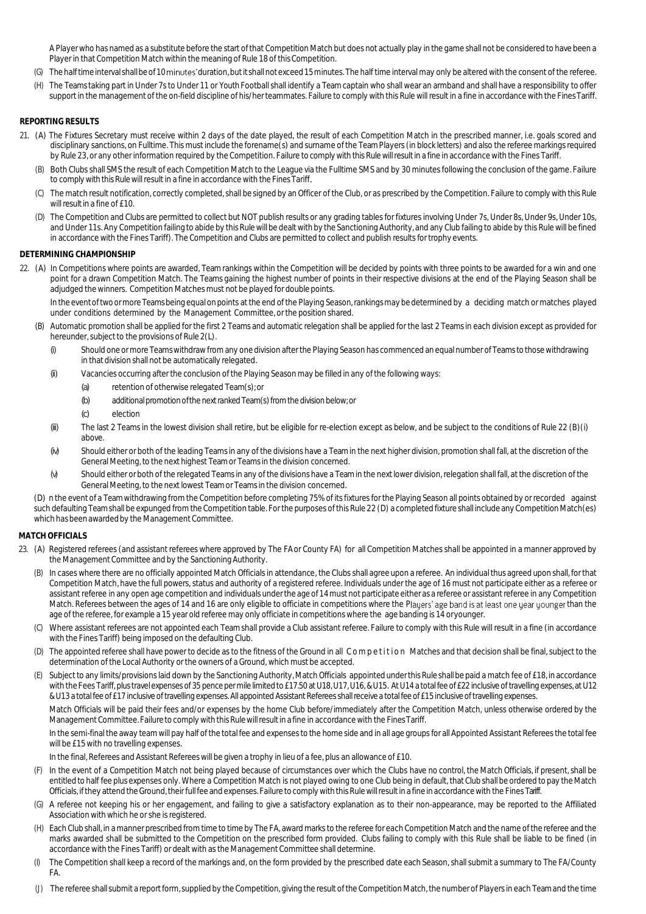A Player who has named as a substitute before the start of that Competition Match but does not actually play in the game shall not be considered to have been a Player in that Competition Match within the meaning of Rule 18 of this Competition.

- (G) The half time interval shall be of 10 minutes' duration, but it shall not exceed 15 minutes. The half time interval may only be altered with the consent of the referee.
- (H) The Teams taking part in Under 7s to Under 11 or Youth Football shall identify a Team captain who shall wear an armband and shall have a responsibility to offer support in the management of the on-field discipline of his/her teammates. Failure to comply with this Rule will result in a fine in accordance with the Fines Tariff.

## **REPORTING RESULTS**

- 21. (A) The Fixtures Secretary must receive within 2 days of the date played, the result of each Competition Match in the prescribed manner, i.e. goals scored and disciplinary sanctions, on Fulltime. This must include the forename(s) and surname of the Team Players (in block letters) and also the referee markings required by Rule 23, or any other information required by the Competition. Failure to comply with this Rule will result in a fine in accordance with the Fines Tariff.
	- (B) Both Clubs shall SMS the result of each Competition Match to the League via the Fulltime SMS and by 30 minutes following the conclusion of the game. Failure to comply with this Rule will result in a fine in accordance with the Fines Tariff*.*
	- (C) The match result notification, correctly completed, shall be signed by an Officer of the Club, or as prescribed by the Competition. Failure to comply with this Rule will result in a fine of £10.
	- (D) The Competition and Clubs are permitted to collect but NOT publish results or any grading tables for fixtures involving Under 7s, Under 8s, Under 9s, Under 10s, and Under 11s. Any Competition failing to abide by this Rulewill be dealtwithby the Sanctioning Authority, and any Club failing to abide by this Rule will be fined in accordance with the Fines Tariff). The Competition and Clubs are permitted to collect and publish results for trophy events.

#### **DETERMINING CHAMPIONSHIP**

22. (A) In Competitions where points are awarded, Team rankings within the Competition will be decided by points with three points to be awarded for a win and one point for a drawn Competition Match. The Teams gaining the highest number of points in their respective divisions at the end of the Playing Season shall be adjudged the winners. Competition Matches must not be played for double points.

In the event of two ormore Teams being equal on points at the end of the Playing Season, rankings may be determined by a deciding match or matches played under conditions determined by the Management Committee, or the position shared.

- (B) Automatic promotion shall be applied for the first 2 Teams and automatic relegation shall be applied for the last 2 Teams in each division except as provided for hereunder, subject to the provisions of Rule 2(L).
	- *(i)* Should one or more Teams withdraw from any one division after the Playing Season has commenced anequal number of Teams to thosewithdrawing in that division shall not be automatically relegated.
	- *(ii)* Vacancies occurring after the conclusion of the Playing Season may be filled in any of the following ways:
		- *(a)* retention of otherwise relegated Team(s); or
		- *(b)* additional promotion ofthe next ranked Team(s) from the division below; or
		- *(c)* election
	- *(iii)* The last 2 Teams in the lowest division shall retire, but be eligible for re-election except as below, and be subject to the conditions of Rule 22 (B)(i) above.
	- *(iv)* Should either or both of the leading Teams in any of the divisions have a Team in the next higher division, promotion shall fall, at the discretion of the General Meeting, to the next highest Team or Teams in the division concerned.
	- *(v)* Should either or both of the relegated Teams in any of the divisions have a Teamin the next lower division, relegation shall fall, at the discretion of the General Meeting, to the next lowest Team or Teams in the division concerned.

(D) n the event of a Team withdrawing from the Competition before completing 75% of its fixtures for the Playing Season all points obtained by or recorded against such defaulting Team shall be expunged from the Competition table. For the purposes of this Rule 22 (D) a completed fixture shall include any CompetitionMatch(es) which has been awarded by the Management Committee.

## **MATCH OFFICIALS**

- 23. (A) Registered referees (and assistant referees where approved by The FA or County FA) for all Competition Matches shall be appointed in a manner approved by the Management Committee and by the Sanctioning Authority.
	- (B) In cases where there are no officially appointed Match Officials in attendance, the Clubs shall agree upon a referee. An individual thus agreed upon shall, for that Competition Match, have the full powers, status and authority of a registered referee. Individuals under the age of 16 must not participate either as a referee or assistant referee in any open age competition and individuals underthe age of 14 must not participate either as a referee or assistant referee in any Competition Match. Referees between the ages of 14 and 16 are only eligible to officiate in competitions where the Players' age band is at least one year younger than the age of the referee, for example a 15 year old referee may only officiate in competitions where the age banding is 14 oryounger.
	- (C) Where assistant referees are not appointed each Team shall provide a Club assistant referee. Failure to comply with this Rule will result in a fine (in accordance with the Fines Tariff) being imposed on the defaulting Club.
	- (D) The appointed referee shall have power to decide as to the fitness of the Ground in all C o m p e tition Matches and that decision shall be final, subject to the determination of the Local Authority or the owners of a Ground, which must be accepted.
	- (E) Subject to any limits/provisions laid down by the Sanctioning Authority, Match Officials appointed underthisRule shallbe paid a match fee of £18, inaccordance with the Fees Tariff, plus travel expenses of 35 pence per mile limited to £17.50 at U18, U17, U16, & U15. At U14 a total fee of £22 inclusive of travelling expenses, at U12 & U13 a total fee of £17 inclusive of travelling expenses. All appointed Assistant Referees shallreceive a total fee of £15 inclusive of travelling expenses.

Match Officials will be paid their fees and/or expenses by the home Club before/immediately after the Competition Match, unless otherwise ordered by the Management Committee. Failure to comply with this Rule will result in a fine in accordance with the Fines Tariff.

In the semi-final the away team will pay half of the total fee and expenses to the home side and in all age groups for all Appointed Assistant Referees the total fee will be £15 with no travelling expenses.

In the final, Referees and Assistant Referees will be given a trophy in lieu of a fee, plus an allowance of £10.

- (F) In the event of a Competition Match not being played because of circumstances over which the Clubs have no control, the Match Officials, if present, shall be entitled to half fee plus expenses only. Where a Competition Match is not played owing to one Club being in default, that Club shall be ordered to pay the Match Officials, if they attend the Ground, their full fee and expenses. Failure to comply with this Rule will result in a fine in accordance with the Fines Tariff.
- (G) A referee not keeping his or her engagement, and failing to give a satisfactory explanation as to their non-appearance, may be reported to the Affiliated Association with which he or she is registered.
- (H) Each Club shall, in a manner prescribed from time to time by The FA, award marks to the referee for each Competition Match and the name of the referee and the marks awarded shall be submitted to the Competition on the prescribed form provided. Clubs failing to comply with this Rule shall be liable to be fined (in accordance with the Fines Tariff) or dealt with as the Management Committee shall determine.
- (I) The Competition shall keep a record of the markings and, on the form provided by the prescribed date each Season, shall submit a summary to The FA/County FA.
- (J) The referee shall submit a reportform, supplied by the Competition, giving the result ofthe Competition Match, the number of Players in each Team and the time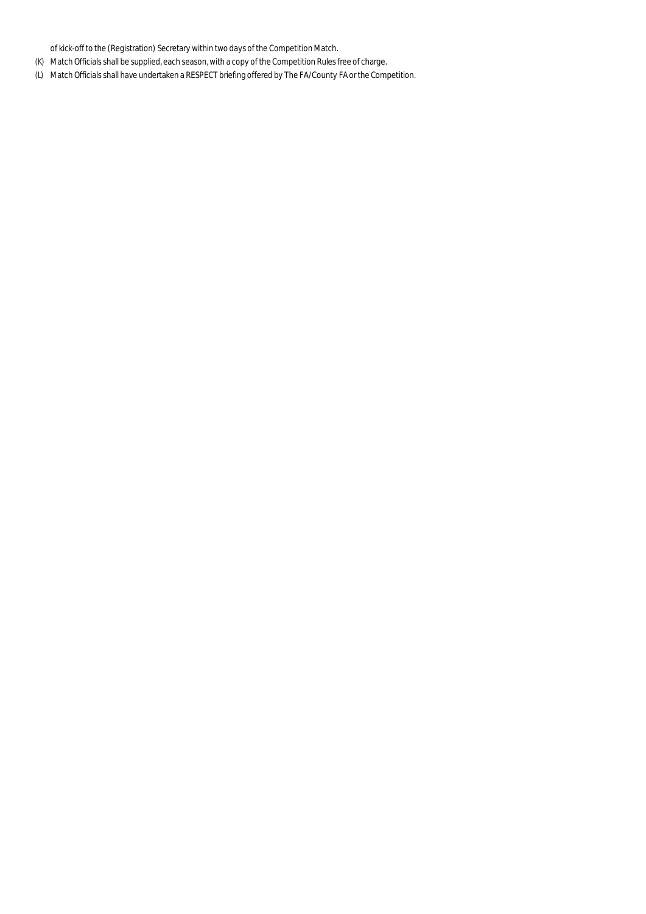of kick-off to the (Registration) Secretary within two days of the Competition Match.

- (K) Match Officials shall be supplied, each season, with a copy of the Competition Rules free of charge.
- (L) Match Officials shall have undertaken a RESPECT briefing offered by The FA/County FA or the Competition.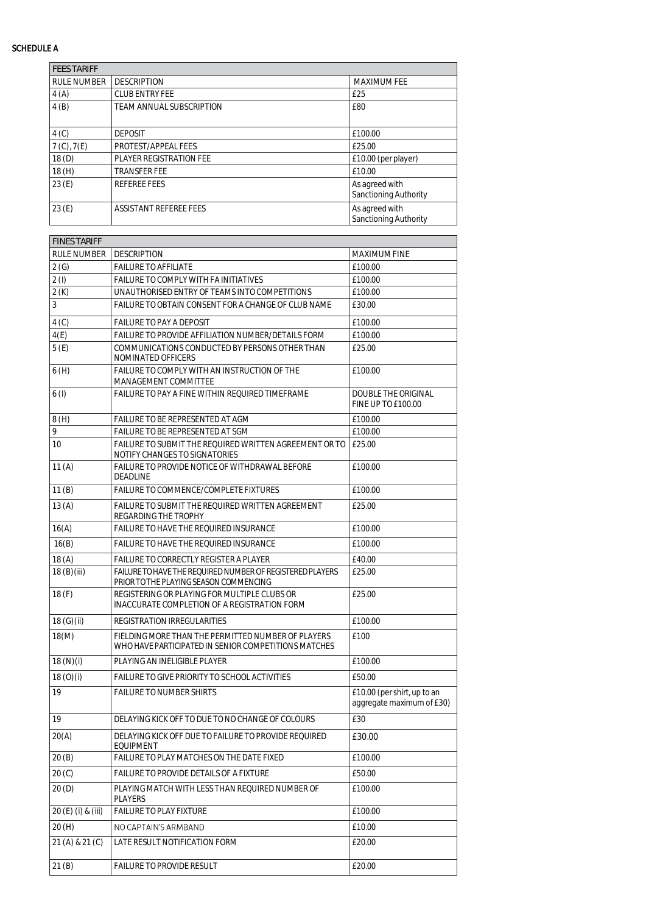## SCHEDULE A

| <b>FEES TARIFF</b> |                          |                                         |
|--------------------|--------------------------|-----------------------------------------|
| RULE NUMBER        | <b>DESCRIPTION</b>       | <b>MAXIMUM FEE</b>                      |
| 4(A)               | CLUB ENTRY FEE           | £25                                     |
| 4(B)               | TEAM ANNUAL SUBSCRIPTION | £80                                     |
| 4(C)               | <b>DEPOSIT</b>           | £100.00                                 |
| 7 (C), 7(E)        | PROTEST/APPEAL FEES      | £25.00                                  |
| 18(D)              | PLAYER REGISTRATION FEE  | £10.00 (per player)                     |
| 18(H)              | <b>TRANSFER FEE</b>      | £10.00                                  |
| 23(E)              | REFEREE FEES             | As agreed with<br>Sanctioning Authority |
| 23(E)              | ASSISTANT REFEREE FEES   | As agreed with<br>Sanctioning Authority |

| <b>FINES TARIFF</b> |                                                                                                            |                                                          |
|---------------------|------------------------------------------------------------------------------------------------------------|----------------------------------------------------------|
| RULE NUMBER         | <b>DESCRIPTION</b>                                                                                         | MAXIMUM FINE                                             |
| 2(G)                | <b>FAILURE TO AFFILIATE</b>                                                                                | £100.00                                                  |
| 2(1)                | FAILURE TO COMPLY WITH FA INITIATIVES                                                                      | £100.00                                                  |
| 2(K)                | UNAUTHORISED ENTRY OF TEAMS INTO COMPETITIONS                                                              | £100.00                                                  |
| 3                   | FAILURE TO OBTAIN CONSENT FOR A CHANGE OF CLUB NAME                                                        | £30.00                                                   |
| 4(C)                | FAILURE TO PAY A DEPOSIT                                                                                   | £100.00                                                  |
| 4(E)                | FAILURE TO PROVIDE AFFILIATION NUMBER/DETAILS FORM                                                         | £100.00                                                  |
| 5(E)                | COMMUNICATIONS CONDUCTED BY PERSONS OTHER THAN<br>NOMINATED OFFICERS                                       | £25.00                                                   |
| 6(H)                | FAILURE TO COMPLY WITH AN INSTRUCTION OF THE<br>MANAGEMENT COMMITTEE                                       | £100.00                                                  |
| 6(1)                | FAILURE TO PAY A FINE WITHIN REQUIRED TIMEFRAME                                                            | DOUBLE THE ORIGINAL<br>FINE UP TO £100.00                |
| 8(H)                | FAILURE TO BE REPRESENTED AT AGM                                                                           | £100.00                                                  |
| 9                   | FAILURE TO BE REPRESENTED AT SGM                                                                           | £100.00                                                  |
| 10 <sup>°</sup>     | FAILURE TO SUBMIT THE REQUIRED WRITTEN AGREEMENT OR TO<br>NOTIFY CHANGES TO SIGNATORIES                    | £25.00                                                   |
| 11(A)               | FAILURE TO PROVIDE NOTICE OF WITHDRAWAL BEFORE<br><b>DEADLINE</b>                                          | £100.00                                                  |
| 11(B)               | FAILURE TO COMMENCE/COMPLETE FIXTURES                                                                      | £100.00                                                  |
| 13(A)               | FAILURE TO SUBMIT THE REQUIRED WRITTEN AGREEMENT<br>REGARDING THE TROPHY                                   | £25.00                                                   |
| 16(A)               | FAILURE TO HAVE THE REQUIRED INSURANCE                                                                     | £100.00                                                  |
| 16(B)               | FAILURE TO HAVE THE REQUIRED INSURANCE                                                                     | £100.00                                                  |
| 18(A)               | FAILURE TO CORRECTLY REGISTER A PLAYER                                                                     | £40.00                                                   |
| 18 (B) (iii)        | FAILURE TO HAVE THE REQUIRED NUMBER OF REGISTERED PLAYERS<br>PRIOR TO THE PLAYING SEASON COMMENCING        | £25.00                                                   |
| 18(F)               | REGISTERING OR PLAYING FOR MULTIPLE CLUBS OR<br>INACCURATE COMPLETION OF A REGISTRATION FORM               | £25.00                                                   |
| 18 (G)(ii)          | REGISTRATION IRREGULARITIES                                                                                | £100.00                                                  |
| 18(M)               | FIELDING MORE THAN THE PERMITTED NUMBER OF PLAYERS<br>WHO HAVE PARTICIPATED IN SENIOR COMPETITIONS MATCHES | £100                                                     |
| 18(N)(i)            | PLAYING AN INELIGIBLE PLAYER                                                                               | £100.00                                                  |
| 18(0)(i)            | FAILURE TO GIVE PRIORITY TO SCHOOL ACTIVITIES                                                              | £50.00                                                   |
| 19                  | <b>FAILURE TO NUMBER SHIRTS</b>                                                                            | £10.00 (per shirt, up to an<br>aggregate maximum of £30) |
| 19                  | DELAYING KICK OFF TO DUE TO NO CHANGE OF COLOURS                                                           | £30                                                      |
| 20(A)               | DELAYING KICK OFF DUE TO FAILURE TO PROVIDE REQUIRED<br><b>EQUIPMENT</b>                                   | £30.00                                                   |
| 20(B)               | FAILURE TO PLAY MATCHES ON THE DATE FIXED                                                                  | £100.00                                                  |
| 20 (C)              | FAILURE TO PROVIDE DETAILS OF A FIXTURE                                                                    | £50.00                                                   |
| 20(D)               | PLAYING MATCH WITH LESS THAN REQUIRED NUMBER OF<br><b>PLAYERS</b>                                          | £100.00                                                  |
| 20 (E) (i) & (iii)  | <b>FAILURE TO PLAY FIXTURE</b>                                                                             | £100.00                                                  |
| 20(H)               | NO CAPTAIN'S ARMBAND                                                                                       | £10.00                                                   |
| 21 (A) & 21 (C)     | LATE RESULT NOTIFICATION FORM                                                                              | £20.00                                                   |
| 21(B)               | FAILURE TO PROVIDE RESULT                                                                                  | £20.00                                                   |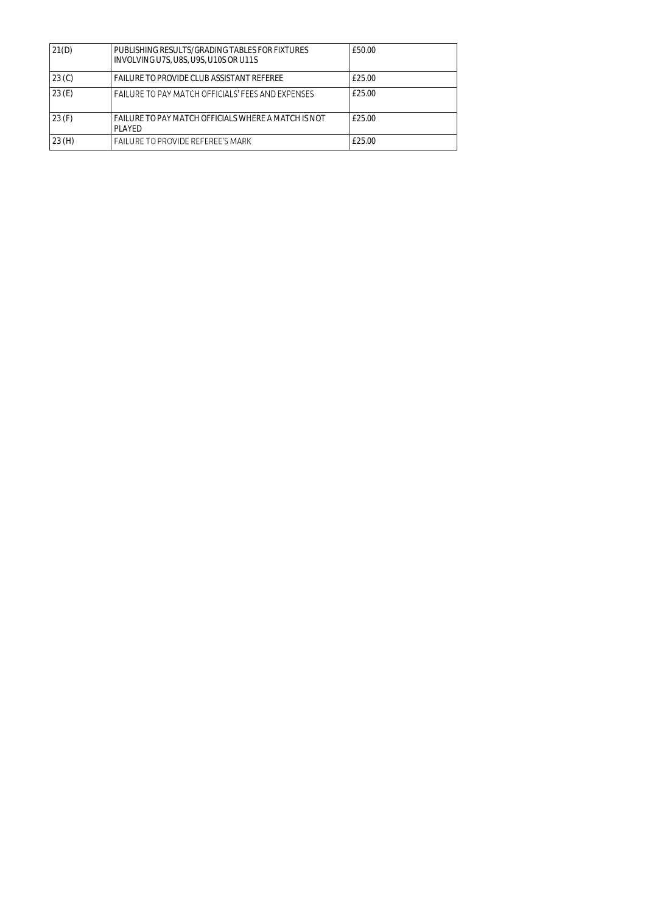| 21(D) | PUBLISHING RESULTS/GRADING TABLES FOR FIXTURES<br>INVOLVING U7S, U8S, U9S, U10S OR U11S | £50.00 |
|-------|-----------------------------------------------------------------------------------------|--------|
| 23(0) | FAILURE TO PROVIDE CLUB ASSISTANT REFEREE                                               | £25.00 |
| 23(E) | FAILURE TO PAY MATCH OFFICIALS' FFFS AND EXPENSES                                       | £25.00 |
| 23(F) | FAILURE TO PAY MATCH OFFICIALS WHERE A MATCH IS NOT<br>PI AYFD                          | £25.00 |
| 23(H) | <b>FAILURE TO PROVIDE REFEREF'S MARK</b>                                                | £25.00 |